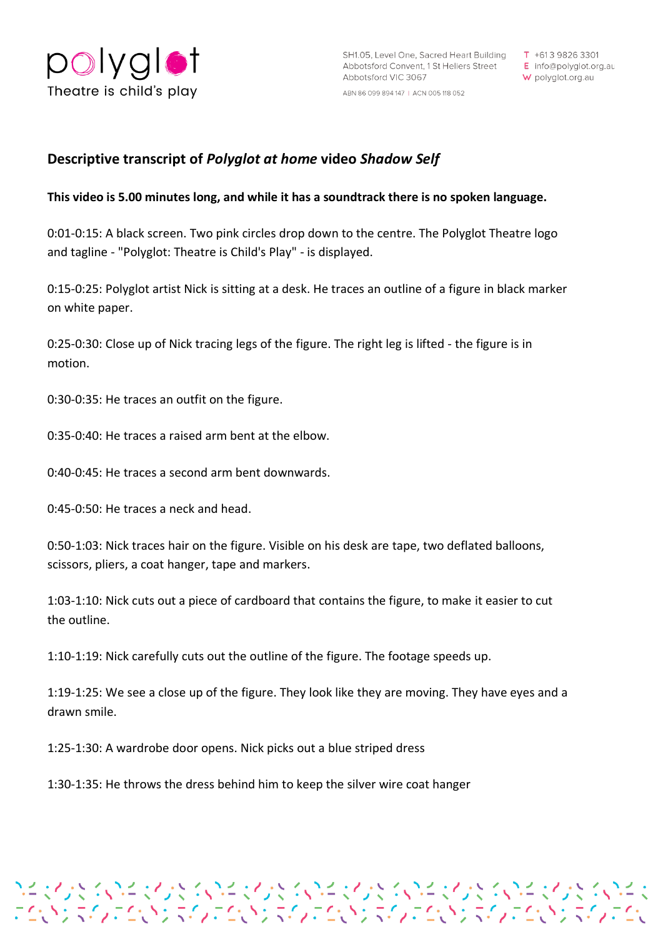

W polyglot.org.au

## **Descriptive transcript of** *Polyglot at home* **video** *Shadow Self*

## **This video is 5.00 minutes long, and while it has a soundtrack there is no spoken language.**

0:01-0:15: A black screen. Two pink circles drop down to the centre. The Polyglot Theatre logo and tagline - "Polyglot: Theatre is Child's Play" - is displayed.

0:15-0:25: Polyglot artist Nick is sitting at a desk. He traces an outline of a figure in black marker on white paper.

0:25-0:30: Close up of Nick tracing legs of the figure. The right leg is lifted - the figure is in motion.

0:30-0:35: He traces an outfit on the figure.

0:35-0:40: He traces a raised arm bent at the elbow.

0:40-0:45: He traces a second arm bent downwards.

0:45-0:50: He traces a neck and head.

0:50-1:03: Nick traces hair on the figure. Visible on his desk are tape, two deflated balloons, scissors, pliers, a coat hanger, tape and markers.

1:03-1:10: Nick cuts out a piece of cardboard that contains the figure, to make it easier to cut the outline.

1:10-1:19: Nick carefully cuts out the outline of the figure. The footage speeds up.

1:19-1:25: We see a close up of the figure. They look like they are moving. They have eyes and a drawn smile.

フィックス スプイックス くめんしゅう スプイングランス くめんしゅう くみんしょう スプイン<br>こくいう スプレコンいう スプレコンドランス こくいう スプレコンドランス こくいう スプレコン

1:25-1:30: A wardrobe door opens. Nick picks out a blue striped dress

1:30-1:35: He throws the dress behind him to keep the silver wire coat hanger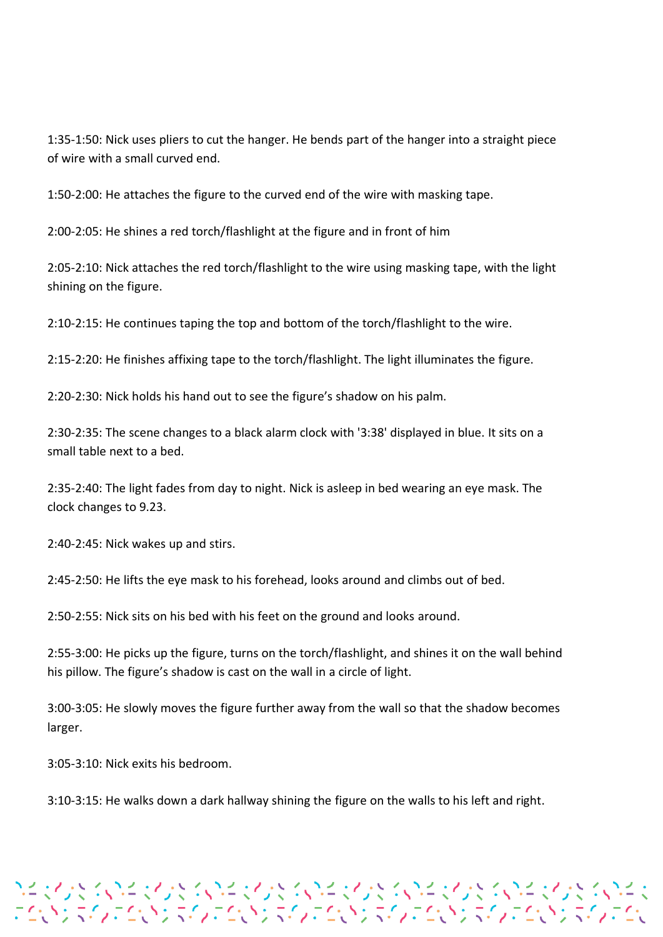1:35-1:50: Nick uses pliers to cut the hanger. He bends part of the hanger into a straight piece of wire with a small curved end.

1:50-2:00: He attaches the figure to the curved end of the wire with masking tape.

2:00-2:05: He shines a red torch/flashlight at the figure and in front of him

2:05-2:10: Nick attaches the red torch/flashlight to the wire using masking tape, with the light shining on the figure.

2:10-2:15: He continues taping the top and bottom of the torch/flashlight to the wire.

2:15-2:20: He finishes affixing tape to the torch/flashlight. The light illuminates the figure.

2:20-2:30: Nick holds his hand out to see the figure's shadow on his palm.

2:30-2:35: The scene changes to a black alarm clock with '3:38' displayed in blue. It sits on a small table next to a bed.

2:35-2:40: The light fades from day to night. Nick is asleep in bed wearing an eye mask. The clock changes to 9.23.

2:40-2:45: Nick wakes up and stirs.

2:45-2:50: He lifts the eye mask to his forehead, looks around and climbs out of bed.

2:50-2:55: Nick sits on his bed with his feet on the ground and looks around.

2:55-3:00: He picks up the figure, turns on the torch/flashlight, and shines it on the wall behind his pillow. The figure's shadow is cast on the wall in a circle of light.

3:00-3:05: He slowly moves the figure further away from the wall so that the shadow becomes larger.

3:05-3:10: Nick exits his bedroom.

3:10-3:15: He walks down a dark hallway shining the figure on the walls to his left and right.